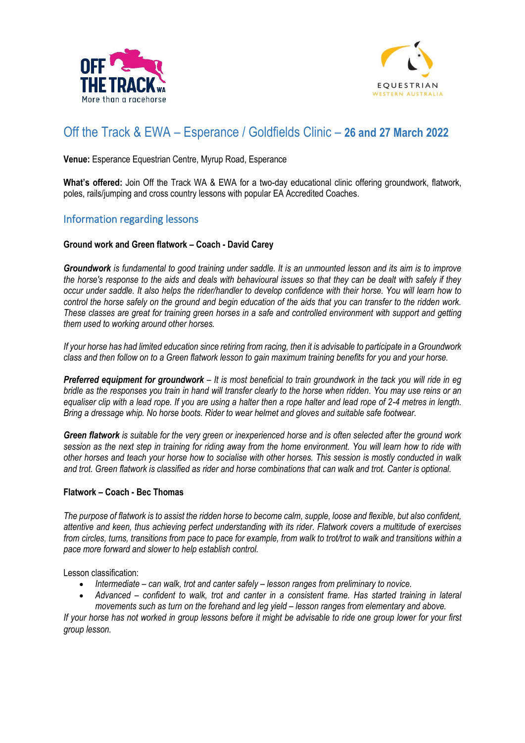



# Off the Track & EWA – Esperance / Goldfields Clinic – **26 and 27 March 2022**

**Venue:** Esperance Equestrian Centre, Myrup Road, Esperance

**What's offered:** Join Off the Track WA & EWA for a two-day educational clinic offering groundwork, flatwork, poles, rails/jumping and cross country lessons with popular EA Accredited Coaches.

# Information regarding lessons

#### **Ground work and Green flatwork – Coach - David Carey**

*Groundwork is fundamental to good training under saddle. It is an unmounted lesson and its aim is to improve the horse's response to the aids and deals with behavioural issues so that they can be dealt with safely if they occur under saddle. It also helps the rider/handler to develop confidence with their horse. You will learn how to control the horse safely on the ground and begin education of the aids that you can transfer to the ridden work. These classes are great for training green horses in a safe and controlled environment with support and getting them used to working around other horses.*

*If your horse has had limited education since retiring from racing, then it is advisable to participate in a Groundwork class and then follow on to a Green flatwork lesson to gain maximum training benefits for you and your horse.*

*Preferred equipment for groundwork – It is most beneficial to train groundwork in the tack you will ride in eg bridle as the responses you train in hand will transfer clearly to the horse when ridden. You may use reins or an equaliser clip with a lead rope. If you are using a halter then a rope halter and lead rope of 2-4 metres in length. Bring a dressage whip. No horse boots. Rider to wear helmet and gloves and suitable safe footwear.* 

*Green flatwork is suitable for the very green or inexperienced horse and is often selected after the ground work session as the next step in training for riding away from the home environment. You will learn how to ride with other horses and teach your horse how to socialise with other horses. This session is mostly conducted in walk and trot. Green flatwork is classified as rider and horse combinations that can walk and trot. Canter is optional.*

#### **Flatwork – Coach - Bec Thomas**

*The purpose of flatwork is to assist the ridden horse to become calm, supple, loose and flexible, but also confident, attentive and keen, thus achieving perfect understanding with its rider. Flatwork covers a multitude of exercises from circles, turns, transitions from pace to pace for example, from walk to trot/trot to walk and transitions within a pace more forward and slower to help establish control.*

Lesson classification:

- *Intermediate – can walk, trot and canter safely – lesson ranges from preliminary to novice.*
- *Advanced – confident to walk, trot and canter in a consistent frame. Has started training in lateral movements such as turn on the forehand and leg yield – lesson ranges from elementary and above.*

*If your horse has not worked in group lessons before it might be advisable to ride one group lower for your first group lesson.*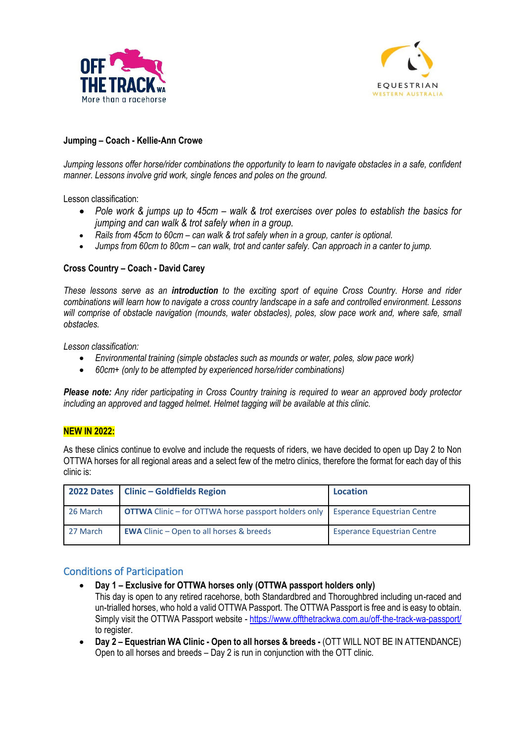



## **Jumping – Coach - Kellie-Ann Crowe**

*Jumping lessons offer horse/rider combinations the opportunity to learn to navigate obstacles in a safe, confident manner. Lessons involve grid work, single fences and poles on the ground.*

Lesson classification:

- *Pole work & jumps up to 45cm – walk & trot exercises over poles to establish the basics for jumping and can walk & trot safely when in a group.*
- *Rails from 45cm to 60cm – can walk & trot safely when in a group, canter is optional.*
- *Jumps from 60cm to 80cm – can walk, trot and canter safely. Can approach in a canter to jump.*

## **Cross Country – Coach - David Carey**

*These lessons serve as an introduction to the exciting sport of equine Cross Country. Horse and rider combinations will learn how to navigate a cross country landscape in a safe and controlled environment. Lessons will comprise of obstacle navigation (mounds, water obstacles), poles, slow pace work and, where safe, small obstacles.*

*Lesson classification:*

- *Environmental training (simple obstacles such as mounds or water, poles, slow pace work)*
- *60cm+ (only to be attempted by experienced horse/rider combinations)*

*Please note: Any rider participating in Cross Country training is required to wear an approved body protector including an approved and tagged helmet. Helmet tagging will be available at this clinic.*

## **NEW IN 2022:**

As these clinics continue to evolve and include the requests of riders, we have decided to open up Day 2 to Non OTTWA horses for all regional areas and a select few of the metro clinics, therefore the format for each day of this clinic is:

|          | 2022 Dates   Clinic - Goldfields Region                                                   | <b>Location</b>                    |
|----------|-------------------------------------------------------------------------------------------|------------------------------------|
| 26 March | <b>OTTWA</b> Clinic – for OTTWA horse passport holders only   Esperance Equestrian Centre |                                    |
| 27 March | <b>EWA</b> Clinic – Open to all horses & breeds                                           | <b>Esperance Equestrian Centre</b> |

# Conditions of Participation

- **Day 1 – Exclusive for OTTWA horses only (OTTWA passport holders only)** 
	- This day is open to any retired racehorse, both Standardbred and Thoroughbred including un-raced and un-trialled horses, who hold a valid OTTWA Passport. The OTTWA Passport is free and is easy to obtain. Simply visit the OTTWA Passport website - <https://www.offthetrackwa.com.au/off-the-track-wa-passport/> to register.
- **Day 2 – Equestrian WA Clinic - Open to all horses & breeds -** (OTT WILL NOT BE IN ATTENDANCE) Open to all horses and breeds – Day 2 is run in conjunction with the OTT clinic.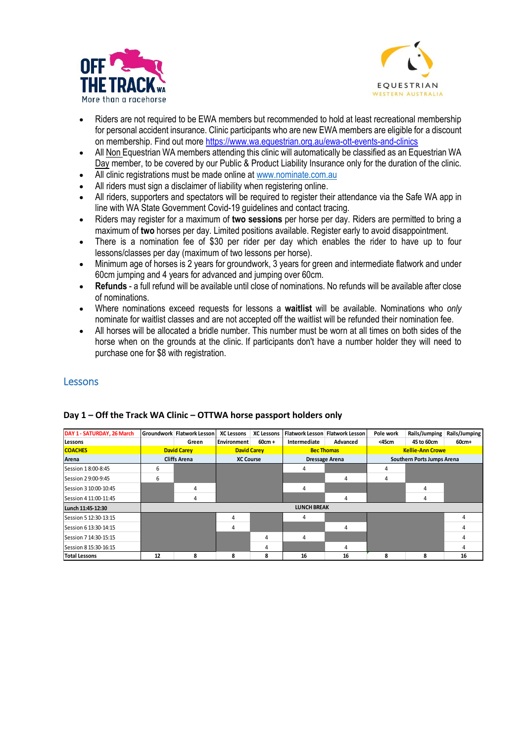



- Riders are not required to be EWA members but recommended to hold at least recreational membership for personal accident insurance. Clinic participants who are new EWA members are eligible for a discount on membership. Find out more <https://www.wa.equestrian.org.au/ewa-ott-events-and-clinics>
- All Non Equestrian WA members attending this clinic will automatically be classified as an Equestrian WA Day member, to be covered by our Public & Product Liability Insurance only for the duration of the clinic.
- All clinic registrations must be made online at [www.nominate.com.au](http://www.nominate.com.au/)
- All riders must sign a disclaimer of liability when registering online.
- All riders, supporters and spectators will be required to register their attendance via the Safe WA app in line with WA State Government Covid-19 guidelines and contact tracing.
- Riders may register for a maximum of **two sessions** per horse per day. Riders are permitted to bring a maximum of **two** horses per day. Limited positions available. Register early to avoid disappointment.
- There is a nomination fee of \$30 per rider per day which enables the rider to have up to four lessons/classes per day (maximum of two lessons per horse).
- Minimum age of horses is 2 years for groundwork, 3 years for green and intermediate flatwork and under 60cm jumping and 4 years for advanced and jumping over 60cm.
- **Refunds** a full refund will be available until close of nominations. No refunds will be available after close of nominations.
- Where nominations exceed requests for lessons a **waitlist** will be available. Nominations who *only* nominate for waitlist classes and are not accepted off the waitlist will be refunded their nomination fee.
- All horses will be allocated a bridle number. This number must be worn at all times on both sides of the horse when on the grounds at the clinic. If participants don't have a number holder they will need to purchase one for \$8 with registration.

## **Lessons**

| DAY 1 - SATURDAY, 26 March |                     | <b>Groundwork Flatwork Lesson</b> | <b>XC Lessons</b>  | <b>XC Lessons</b> |                   | Flatwork Lesson Flatwork Lesson | Pole work                  | Rails/Jumping | Rails/Jumping |
|----------------------------|---------------------|-----------------------------------|--------------------|-------------------|-------------------|---------------------------------|----------------------------|---------------|---------------|
| Lessons                    |                     | Green                             | <b>Environment</b> | $60cm +$          | Intermediate      | Advanced                        | $<$ 45 $cm$                | 45 to 60cm    | 60cm+         |
| <b>COACHES</b>             | <b>David Carey</b>  |                                   | <b>David Carey</b> |                   | <b>Bec Thomas</b> |                                 | <b>Kellie-Ann Crowe</b>    |               |               |
| Arena                      | <b>Cliffs Arena</b> |                                   | <b>XC Course</b>   |                   | Dressage Arena    |                                 | Southern Ports Jumps Arena |               |               |
| Session 18:00-8:45         | 6                   |                                   |                    |                   | 4                 |                                 | 4                          |               |               |
| Session 29:00-9:45         | 6                   |                                   |                    |                   |                   | 4                               | 4                          |               |               |
| Session 3 10:00-10:45      |                     | 4                                 |                    |                   | 4                 |                                 |                            | 4             |               |
| Session 4 11:00-11:45      |                     | 4                                 |                    |                   |                   | 4                               |                            | 4             |               |
| Lunch 11:45-12:30          | <b>LUNCH BREAK</b>  |                                   |                    |                   |                   |                                 |                            |               |               |
| Session 5 12:30-13:15      |                     |                                   | 4                  |                   | 4                 |                                 |                            |               | 4             |
| Session 6 13:30-14:15      |                     |                                   | 4                  |                   |                   | 4                               |                            |               |               |
| Session 7 14:30-15:15      |                     |                                   |                    | 4                 | 4                 |                                 |                            |               | 4             |
| Session 8 15:30-16:15      |                     |                                   |                    | 4                 |                   | 4                               |                            |               | 4             |
| <b>Total Lessons</b>       | 12                  | 8                                 | 8                  | 8                 | 16                | 16                              | 8                          | 8             | 16            |

#### **Day 1 – Off the Track WA Clinic – OTTWA horse passport holders only**